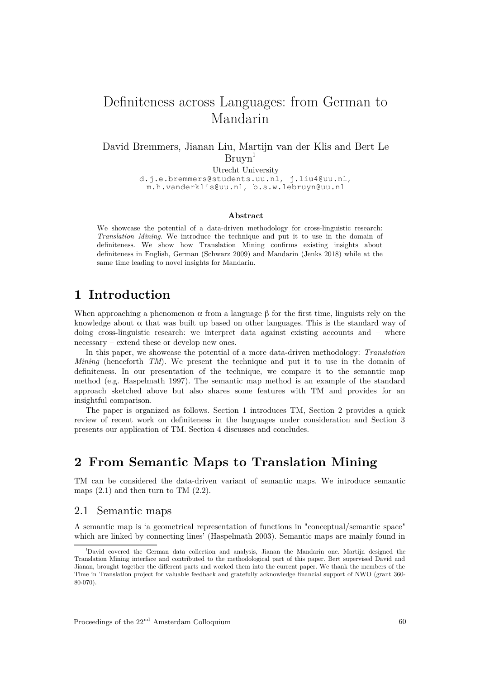# Definiteness across Languages: from German to Mandarin

### David Bremmers, Jianan Liu, Martijn van der Klis and Bert Le  $Bruvn<sup>1</sup>$

Utrecht University d.j.e.bremmers@students.uu.nl, j.liu4@uu.nl, m.h.vanderklis@uu.nl, b.s.w.lebruyn@uu.nl

### **Abstract**

We showcase the potential of a data-driven methodology for cross-linguistic research: *Translation Mining*. We introduce the technique and put it to use in the domain of definiteness. We show how Translation Mining confirms existing insights about definiteness in English, German (Schwarz 2009) and Mandarin (Jenks 2018) while at the same time leading to novel insights for Mandarin.

## **1Introduction**

When approaching a phenomenon  $\alpha$  from a language  $\beta$  for the first time, linguists rely on the knowledge about  $\alpha$  that was built up based on other languages. This is the standard way of doing cross-linguistic research: we interpret data against existing accounts and – where necessary – extend these or develop new ones.

In this paper, we showcase the potential of a more data-driven methodology: *Translation Mining* (henceforth *TM*). We present the technique and put it to use in the domain of definiteness. In our presentation of the technique, we compare it to the semantic map method (e.g. Haspelmath 1997). The semantic map method is an example of the standard approach sketched above but also shares some features with TM and provides for an insightful comparison.

The paper is organized as follows. Section 1 introduces TM, Section 2 provides a quick review of recent work on definiteness in the languages under consideration and Section 3 presents our application of TM. Section 4 discusses and concludes.

## **2From Semantic Maps to Translation Mining**

TM can be considered the data-driven variant of semantic maps. We introduce semantic maps  $(2.1)$  and then turn to TM  $(2.2)$ .

### 2.1 Semantic maps

A semantic map is 'a geometrical representation of functions in "conceptual/semantic space" which are linked by connecting lines' (Haspelmath 2003). Semantic maps are mainly found in

<sup>1</sup>David covered the German data collection and analysis, Jianan the Mandarin one. Martijn designed the Translation Mining interface and contributed to the methodological part of this paper. Bert supervised David and Jianan, brought together the different parts and worked them into the current paper. We thank the members of the Time in Translation project for valuable feedback and gratefully acknowledge financial support of NWO (grant 360- 80-070).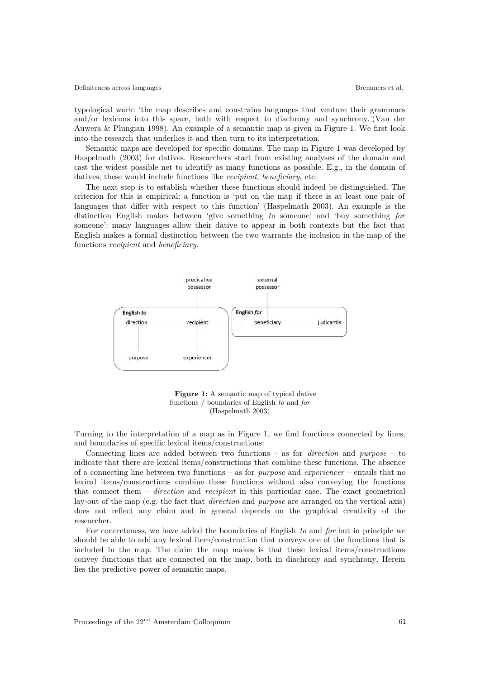typological work: 'the map describes and constrains languages that venture their grammars and/or lexicons into this space, both with respect to diachrony and synchrony.'(Van der Auwera & Plungian 1998). An example of a semantic map is given in Figure 1. We first look into the research that underlies it and then turn to its interpretation.

Semantic maps are developed for specific domains. The map in Figure 1 was developed by Haspelmath (2003) for datives. Researchers start from existing analyses of the domain and cast the widest possible net to identify as many functions as possible. E.g., in the domain of datives, these would include functions like *recipient*, *beneficiary*, etc.

The next step is to establish whether these functions should indeed be distinguished. The criterion for this is empirical: a function is 'put on the map if there is at least one pair of languages that differ with respect to this function' (Haspelmath 2003). An example is the distinction English makes between 'give something *to* someone' and 'buy something *for* someone': many languages allow their dative to appear in both contexts but the fact that English makes a formal distinction between the two warrants the inclusion in the map of the functions *recipient* and *beneficiary*.



**Figure 1:** A semantic map of typical dative functions / boundaries of English *to* and *for* (Haspelmath 2003)

Turning to the interpretation of a map as in Figure 1, we find functions connected by lines, and boundaries of specific lexical items/constructions:

Connecting lines are added between two functions – as for *direction* and *purpose* – to indicate that there are lexical items/constructions that combine these functions. The absence of a connecting line between two functions – as for*purpose* and *experiencer* – entails that no lexical items/constructions combine these functions without also conveying the functions that connect them – *direction* and *recipient* in this particular case. The exact geometrical lay-out of the map (e.g. the fact that *direction* and *purpose* are arranged on the vertical axis) does not reflect any claim and in general depends on the graphical creativity of the researcher.

For concreteness, we have added the boundaries of English *to* and *for* but in principle we should be able to add any lexical item/construction that conveys one of the functions that is included in the map. The claim the map makes is that these lexical items/constructions convey functions that are connected on the map, both in diachrony and synchrony. Herein lies the predictive power of semantic maps.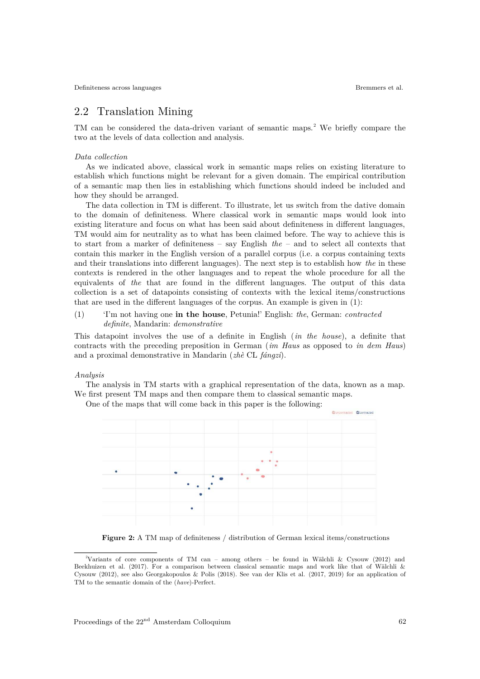### 2.2 Translation Mining

TM can be considered the data-driven variant of semantic maps.<sup>2</sup> We briefly compare the two at the levels of data collection and analysis.

#### *Data collection*

As we indicated above, classical work in semantic maps relies on existing literature to establish which functions might be relevant for a given domain. The empirical contribution of a semantic map then lies in establishing which functions should indeed be included and how they should be arranged.

The data collection in TM is different. To illustrate, let us switch from the dative domain to the domain of definiteness. Where classical work in semantic maps would look into existing literature and focus on what has been said about definiteness in different languages, TM would aim for neutrality as to what has been claimed before. The way to achieve this is to start from a marker of definiteness – say English*the* – and to select all contexts that contain this marker in the English version of a parallel corpus (i.e. a corpus containing texts and their translations into different languages). The next step is to establish how *the* in these contexts is rendered in the other languages and to repeat the whole procedure for all the equivalents of *the* that are found in the different languages. The output of this data collection is a set of datapoints consisting of contexts with the lexical items/constructions that are used in the different languages of the corpus. An example is given in (1):

### (1) 'I'm not having one **in the house**, Petunia!' English: *the*, German: *contracted definite*, Mandarin: *demonstrative*

This datapoint involves the use of a definite in English (*in the house*), a definite that contracts with the preceding preposition in German (*im Haus* as opposed to *in dem Haus*) and a proximal demonstrative in Mandarin (*zhè* CL *fángzi*).

#### *Analysis*

The analysis in TM starts with a graphical representation of the data, known as a map. We first present TM maps and then compare them to classical semantic maps.

Contracte

One of the maps that will come back in this paper is the following:

**Figure 2:** A TM map of definiteness / distribution of German lexical items/constructions

<sup>2</sup>Variants of core components of TM can – among others – be found in Wälchli & Cysouw (2012) and Beekhuizen et al. (2017). For a comparison between classical semantic maps and work like that of Wälchli & Cysouw (2012), see also Georgakopoulos & Polis (2018). See van der Klis et al. (2017, 2019) for an application of TM to the semantic domain of the (*have*)-Perfect.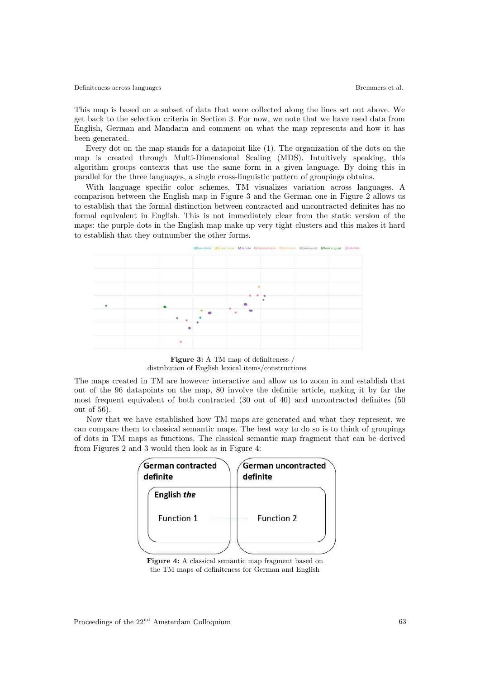This map is based on a subset of data that were collected along the lines set out above. We get back to the selection criteria in Section 3. For now, we note that we have used data from English, German and Mandarin and comment on what the map represents and how it has been generated.

Every dot on the map stands for a datapoint like (1). The organization of the dots on the map is created through Multi-Dimensional Scaling (MDS). Intuitively speaking, this algorithm groups contexts that use the same form in a given language. By doing this in parallel for the three languages, a single cross-linguistic pattern of groupings obtains.

With language specific color schemes, TM visualizes variation across languages. A comparison between the English map in Figure 3 and the German one in Figure 2 allows us to establish that the formal distinction between contracted and uncontracted definites has no formal equivalent in English. This is not immediately clear from the static version of the maps: the purple dots in the English map make up very tight clusters and this makes it hard to establish that they outnumber the other forms.



**Figure 3:** A TM map of definiteness / distribution of English lexical items/constructions

The maps created in TM are however interactive and allow us to zoom in and establish that out of the 96 datapoints on the map, 80 involve the definite article, making it by far the most frequent equivalent of both contracted (30 out of 40) and uncontracted definites (50 out of 56).

 Now that we have established how TM maps are generated and what they represent, we can compare them to classical semantic maps. The best way to do so is to think of groupings of dots in TM maps as functions. The classical semantic map fragment that can be derived from Figures 2 and 3 would then look as in Figure 4:

| German contracted<br>definite | German uncontracted<br>definite |  |  |  |  |
|-------------------------------|---------------------------------|--|--|--|--|
| English the                   |                                 |  |  |  |  |
| Function 1                    | Function 2                      |  |  |  |  |
|                               |                                 |  |  |  |  |

**Figure 4:** A classical semantic map fragment based on the TM maps of definiteness for German and English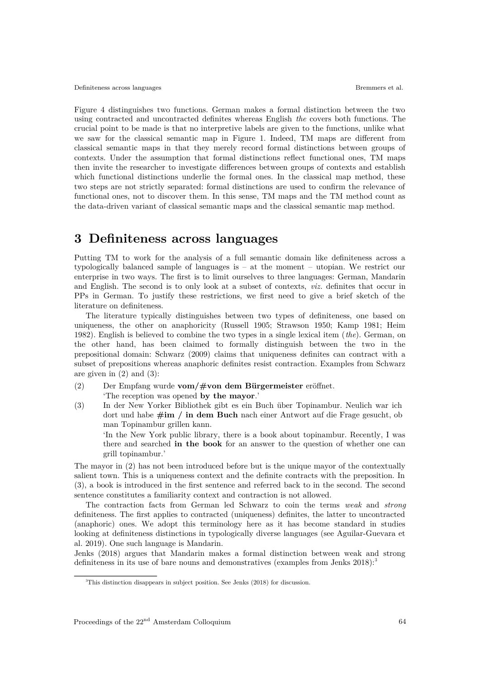Figure 4 distinguishes two functions. German makes a formal distinction between the two using contracted and uncontracted definites whereas English *the* covers both functions. The crucial point to be made is that no interpretive labels are given to the functions, unlike what we saw for the classical semantic map in Figure 1. Indeed, TM maps are different from classical semantic maps in that they merely record formal distinctions between groups of contexts. Under the assumption that formal distinctions reflect functional ones, TM maps then invite the researcher to investigate differences between groups of contexts and establish which functional distinctions underlie the formal ones. In the classical map method, these two steps are not strictly separated: formal distinctions are used to confirm the relevance of functional ones, not to discover them. In this sense, TM maps and the TM method count as the data-driven variant of classical semantic maps and the classical semantic map method.

## **3Definiteness across languages**

Putting TM to work for the analysis of a full semantic domain like definiteness across a typologically balanced sample of languages is – at the moment – utopian. We restrict our enterprise in two ways. The first is to limit ourselves to three languages: German, Mandarin and English. The second is to only look at a subset of contexts, *viz.* definites that occur in PPs in German. To justify these restrictions, we first need to give a brief sketch of the literature on definiteness.

The literature typically distinguishes between two types of definiteness, one based on uniqueness, the other on anaphoricity (Russell 1905; Strawson 1950; Kamp 1981; Heim 1982). English is believed to combine the two types in a single lexical item (*the*). German, on the other hand, has been claimed to formally distinguish between the two in the prepositional domain: Schwarz (2009) claims that uniqueness definites can contract with a subset of prepositions whereas anaphoric definites resist contraction. Examples from Schwarz are given in  $(2)$  and  $(3)$ :

- (2) Der Empfang wurde **vom/#von dem Bürgermeister** eröffnet. 'The reception was opened **by the mayor**.'
- (3) In der New Yorker Bibliothek gibt es ein Buch über Topinambur. Neulich war ich dort und habe **#im / in dem Buch** nach einer Antwort auf die Frage gesucht, ob man Topinambur grillen kann.

'In the New York public library, there is a book about topinambur. Recently, I was there and searched **in the book** for an answer to the question of whether one can grill topinambur.'

The mayor in (2) has not been introduced before but is the unique mayor of the contextually salient town. This is a uniqueness context and the definite contracts with the preposition. In (3), a book is introduced in the first sentence and referred back to in the second. The second sentence constitutes a familiarity context and contraction is not allowed.

The contraction facts from German led Schwarz to coin the terms *weak* and *strong* definiteness. The first applies to contracted (uniqueness) definites, the latter to uncontracted (anaphoric) ones. We adopt this terminology here as it has become standard in studies looking at definiteness distinctions in typologically diverse languages (see Aguilar-Guevara et al. 2019). One such language is Mandarin.

Jenks (2018) argues that Mandarin makes a formal distinction between weak and strong definiteness in its use of bare nouns and demonstratives (examples from Jenks  $2018$ ):

<sup>&</sup>lt;sup>3</sup>This distinction disappears in subject position. See Jenks (2018) for discussion.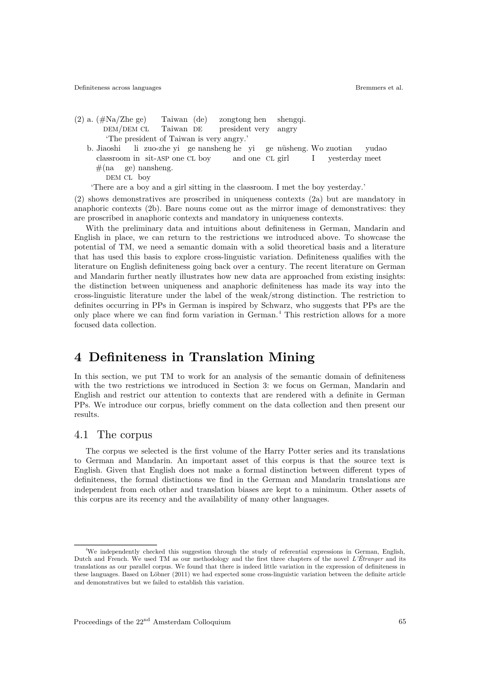(2) a. (#Na/Zhe ge) Taiwan (de) zongtong hen shengqi. DEM/DEM CL Taiwan DE president very angry 'The president of Taiwan is very angry.' b. Jiaoshi li zuo-zhe yi ge nansheng he yi genüsheng. Wo zuotian yudao

 classroom in sit-ASP one CL boy andone CLgirl I yesterday meet  $#$ (na ge) nansheng. DEM CL boy

'There are a boy and a girl sitting in the classroom. I met the boy yesterday.'

(2) shows demonstratives are proscribed in uniqueness contexts (2a) but are mandatory in anaphoric contexts (2b). Bare nouns come out as the mirror image of demonstratives: they are proscribed in anaphoric contexts and mandatory in uniqueness contexts.

With the preliminary data and intuitions about definiteness in German, Mandarin and English in place, we can return to the restrictions we introduced above. To showcase the potential of TM, we need a semantic domain with a solid theoretical basis and a literature that has used this basis to explore cross-linguistic variation. Definiteness qualifies with the literature on English definiteness going back over a century. The recent literature on German and Mandarin further neatly illustrates how new data are approached from existing insights: the distinction between uniqueness and anaphoric definiteness has made its way into the cross-linguistic literature under the label of the weak/strong distinction. The restriction to definites occurring in PPs in German is inspired by Schwarz, who suggests that PPs are the only place where we can find form variation in German. <sup>4</sup> This restriction allows for a more focused data collection.

## **4Definiteness in Translation Mining**

In this section, we put TM to work for an analysis of the semantic domain of definiteness with the two restrictions we introduced in Section 3: we focus on German, Mandarin and English and restrict our attention to contexts that are rendered with a definite in German PPs. We introduce our corpus, briefly comment on the data collection and then present our results.

### 4.1 The corpus

The corpus we selected is the first volume of the Harry Potter series and its translations to German and Mandarin. An important asset of this corpus is that the source text is English. Given that English does not make a formal distinction between different types of definiteness, the formal distinctions we find in the German and Mandarin translations are independent from each other and translation biases are kept to a minimum. Other assets of this corpus are its recency and the availability of many other languages.

<sup>4</sup>We independently checked this suggestion through the study of referential expressions in German, English, Dutch and French. We used TM as our methodology and the first three chapters of the novel *L'Étranger* and its translations as our parallel corpus. We found that there is indeed little variation in the expression of definiteness in these languages. Based on Löbner (2011) we had expected some cross-linguistic variation between the definite article and demonstratives but we failed to establish this variation.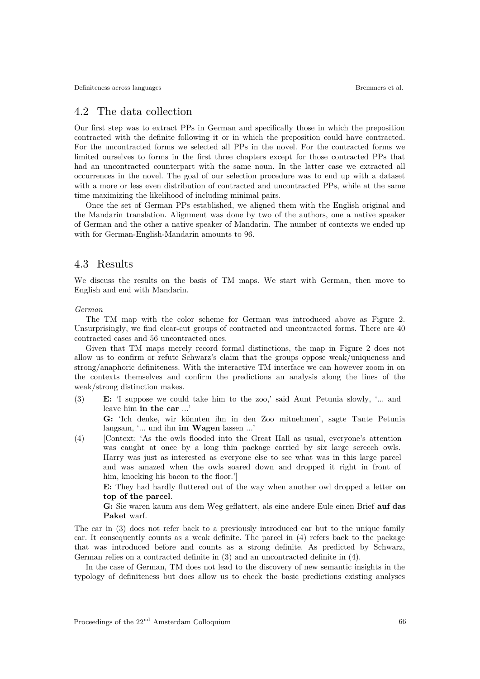### 4.2 The data collection

Our first step was to extract PPs in German and specifically those in which the preposition contracted with the definite following it or in which the preposition could have contracted. For the uncontracted forms we selected all PPs in the novel. For the contracted forms we limited ourselves to forms in the first three chapters except for those contracted PPs that had an uncontracted counterpart with the same noun. In the latter case we extracted all occurrences in the novel. The goal of our selection procedure was to end up with a dataset with a more or less even distribution of contracted and uncontracted PPs, while at the same time maximizing the likelihood of including minimal pairs.

Once the set of German PPs established, we aligned them with the English original and the Mandarin translation. Alignment was done by two of the authors, one a native speaker of German and the other a native speaker of Mandarin. The number of contexts we ended up with for German-English-Mandarin amounts to 96.

### 4.3 Results

We discuss the results on the basis of TM maps. We start with German, then move to English and end with Mandarin.

#### *German*

The TM map with the color scheme for German was introduced above as Figure 2. Unsurprisingly, we find clear-cut groups of contracted and uncontracted forms. There are 40 contracted cases and 56 uncontracted ones.

Given that TM maps merely record formal distinctions, the map in Figure 2 does not allow us to confirm or refute Schwarz's claim that the groups oppose weak/uniqueness and strong/anaphoric definiteness. With the interactive TM interface we can however zoom in on the contexts themselves and confirm the predictions an analysis along the lines of the weak/strong distinction makes.

(3) **E:** 'I suppose we could take him to the zoo,' said Aunt Petunia slowly, '... and leave him **in the car** ...'

**G:** 'Ich denke, wir könnten ihn in den Zoo mitnehmen', sagte Tante Petunia langsam, '... und ihn **im W agen** lassen ...'

(4) [Context: 'As the owls flooded into the Great Hall as usual, everyone's attention was caught at once by a long thin package carried by six large screech owls. Harry was just as interested as everyone else to see what was in this large parcel and was amazed when the owls soared down and dropped it right in front of him, knocking his bacon to the floor.'

**E:** They had hardly fluttered out of the way when another owl dropped a letter **on** top of the parcel.

**G:** Sie waren kaum aus dem Weg geflattert, als eine andere Eule einen Brief **aufdas Paket** warf.

The car in (3) does not refer back to a previously introduced car but to the unique family car. It consequently counts as a weak definite. The parcel in (4) refers back to the package that was introduced before and counts as a strong definite. As predicted by Schwarz, German relies on a contracted definite in (3) and an uncontracted definite in (4).

In the case of German, TM does not lead to the discovery of new semantic insights in the typology of definiteness but does allow us to check the basic predictions existing analyses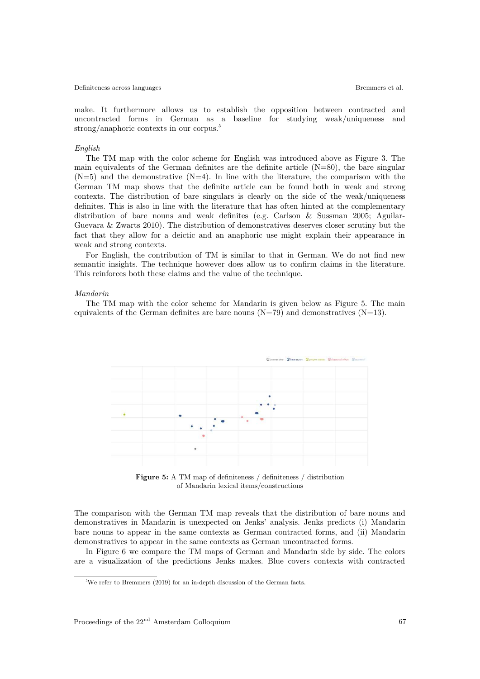make. It furthermore allows us to establish the opposition between contracted and uncontracted forms in German as a baseline for studying weak/uniqueness and strong/anaphoric contexts in our corpus.<sup>5</sup>

#### *English*

The TM map with the color scheme for English was introduced above as Figure 3. The main equivalents of the German definites are the definite article  $(N=80)$ , the bare singular  $(N=5)$  and the demonstrative  $(N=4)$ . In line with the literature, the comparison with the German TM map shows that the definite article can be found both in weak and strong contexts. The distribution of bare singulars is clearly on the side of the weak/uniqueness definites. This is also in line with the literature that has often hinted at the complementary distribution of bare nouns and weak definites (e.g. Carlson & Sussman 2005; Aguilar-Guevara & Zwarts 2010). The distribution of demonstratives deserves closer scrutiny but the fact that they allow for a deictic and an anaphoric use might explain their appearance in weak and strong contexts.

For English, the contribution of TM is similar to that in German. We do not find new semantic insights. The technique however does allow us to confirm claims in the literature. This reinforces both these claims and the value of the technique.

#### *Mandarin*

The TM map with the color scheme for Mandarin is given below as Figure 5. The main equivalents of the German definites are bare nouns  $(N=79)$  and demonstratives  $(N=13)$ .



**Figure 5:** A TM map of definiteness / definiteness / distribution of Mandarin lexical items/constructions

The comparison with the German TM map reveals that the distribution of bare nouns and demonstratives in Mandarin is unexpected on Jenks' analysis. Jenks predicts (i) Mandarin bare nouns to appear in the same contexts as German contracted forms, and (ii) Mandarin demonstratives to appear in the same contexts as German uncontracted forms.

In Figure 6 we compare the TM maps of German and Mandarin side by side. The colors are a visualization of the predictions Jenks makes. Blue covers contexts with contracted

 $5$ We refer to Bremmers (2019) for an in-depth discussion of the German facts.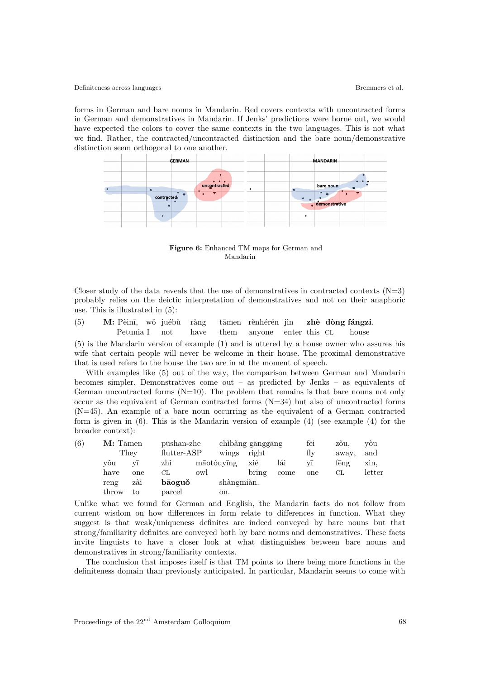forms in German and bare nouns in Mandarin. Red covers contexts with uncontracted forms in German and demonstratives in Mandarin. If Jenks' predictions were borne out, we would have expected the colors to cover the same contexts in the two languages. This is not what we find. Rather, the contracted/uncontracted distinction and the bare noun/demonstrative distinction seem orthogonal to one another.



**Figure 6:** Enhanced TM maps for German and Mandarin

Closer study of the data reveals that the use of demonstratives in contracted contexts  $(N=3)$ probably relies on the deictic interpretation of demonstratives and not on their anaphoric use. This is illustrated in (5):

| (5) | M: Pèinī, wǒ juébù ràng tāmen rènhérén jìn zhè dòng fángzi. |  |  |                                                    |  |  |
|-----|-------------------------------------------------------------|--|--|----------------------------------------------------|--|--|
|     |                                                             |  |  | Petunia I not have them anyone enter this CL house |  |  |

(5) is the Mandarin version of example (1) and is uttered by a house owner who assures his wife that certain people will never be welcome in their house. The proximal demonstrative that is used refers to the house the two are in at the moment of speech.

With examples like (5) out of the way, the comparison between German and Mandarin becomes simpler. Demonstratives come out – as predicted by Jenks – as equivalents of German uncontracted forms  $(N=10)$ . The problem that remains is that bare nouns not only occur as the equivalent of German contracted forms (N=34) but also of uncontracted forms  $(N=45)$ . An example of a bare noun occurring as the equivalent of a German contracted form is given in  $(6)$ . This is the Mandarin version of example  $(4)$  (see example  $(4)$ ) for the broader context):

| (6) | $M:$ Tamen    |     | pūshan-zhe    |            | chibǎng gānggāng |       |      | fēi                | zǒu,  | vòu    |
|-----|---------------|-----|---------------|------------|------------------|-------|------|--------------------|-------|--------|
|     | They          |     | $flutter-ASP$ |            | wings            | right |      | fly                | away, | and    |
|     | vǒu           | V1  | zhĭ           | māotóuvīng |                  | xié   | lái  | $\rm v\bar{\rm 1}$ | feng  | xin,   |
|     | have          | one | СL            | owl        |                  | bring | come | one                | CL    | letter |
|     | $r\bar{e}$ ng | zài | bāoguǒ        |            | shàngmiàn.       |       |      |                    |       |        |
|     | throw         | to  | parcel        |            | on.              |       |      |                    |       |        |

Unlike what we found for German and English, the Mandarin facts do not follow from current wisdom on how differences in form relate to differences in function. What they suggest is that weak/uniqueness definites are indeed conveyed by bare nouns but that strong/familiarity definites are conveyed both by bare nouns and demonstratives. These facts invite linguists to have a closer look at what distinguishes between bare nouns and demonstratives in strong/familiarity contexts.

The conclusion that imposes itself is that TM points to there being more functions in the definiteness domain than previously anticipated. In particular, Mandarin seems to come with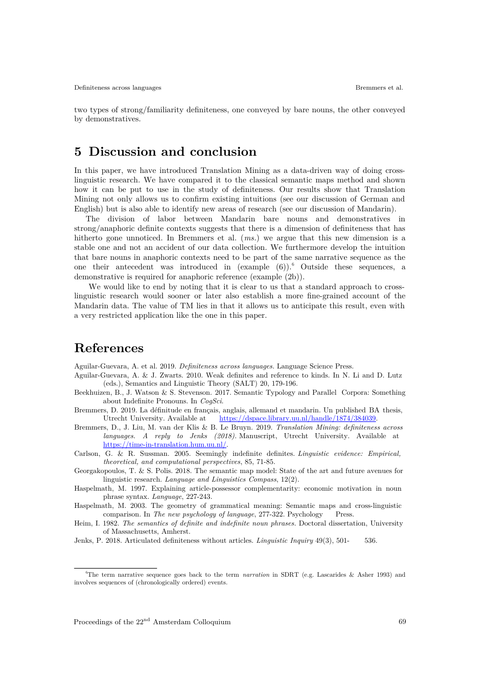two types of strong/familiarity definiteness, one conveyed by bare nouns, the other conveyed by demonstratives.

## **5Discussion and conclusion**

In this paper, we have introduced Translation Mining as a data-driven way of doing crosslinguistic research. We have compared it to the classical semantic maps method and shown how it can be put to use in the study of definiteness. Our results show that Translation Mining not only allows us to confirm existing intuitions (see our discussion of German and English) but is also able to identify new areas of research (see our discussion of Mandarin).

The division of labor between Mandarin bare nouns and demonstratives in strong/anaphoric definite contexts suggests that there is a dimension of definiteness that has hitherto gone unnoticed. In Bremmers et al. (*ms.*) we argue that this new dimension is a stable one and not an accident of our data collection. We furthermore develop the intuition that bare nouns in anaphoric contexts need to be part of the same narrative sequence as the one their antecedent was introduced in  $(\text{example } (6))$ . Outside these sequences, a demonstrative is required for anaphoric reference (example (2b)).

 We would like to end by noting that it is clear to us that a standard approach to crosslinguistic research would sooner or later also establish a more fine-grained account of the Mandarin data. The value of TM lies in that it allows us to anticipate this result, even with a very restricted application like the one in this paper.

## **References**

Aguilar-Guevara, A. et al. 2019. *Definiteness across languages*. Language Science Press.

- Aguilar-Guevara, A. & J. Zwarts. 2010. Weak definites and reference to kinds. In N. Li and D. Lutz (eds.), Semantics and Linguistic Theory (SALT) 20, 179-196.
- Beekhuizen, B., J. Watson & S. Stevenson. 2017. Semantic Typology and Parallel Corpora: Something about Indefinite Pronouns. In *CogSci*.
- Bremmers, D. 2019. La définitude en français, anglais, allemand et mandarin. Un published BA thesis, Utrecht University. Available at https://dspace.library.uu.nl/handle/1874/384039.
- Bremmers, D., J. Liu, M. van der Klis & B. Le Bruyn. 2019. *Translation Mining: definiteness across languages. A reply to Jenks (2018)*. Manuscript, Utrecht University. Available at https://time-in-translation.hum.uu.nl/.

Carlson, G. & R. Sussman. 2005. Seemingly indefinite definites. *Linguistic evidence: Empirical, theoretical, and computational perspectives*, 85, 71-85.

- Georgakopoulos, T. & S. Polis. 2018. The semantic map model: State of the art and future avenues for linguistic research. *Language and Linguistics Compass*, 12(2).
- Haspelmath, M. 1997. Explaining article-possessor complementarity: economic motivation in noun phrase syntax. *Language*, 227-243.

Haspelmath, M. 2003. The geometry of grammatical meaning: Semantic maps and cross-linguistic comparison. In *The new psychology of language*, 277-322. Psychology Press.

Heim, I. 1982. *The semantics of definite and indefinite noun phrases*. Doctoral dissertation, University of Massachusetts, Amherst.

Jenks, P. 2018. Articulated definiteness without articles. *Linguistic Inquiry* 49(3), 501- 536.

<sup>6</sup>The term narrative sequence goes back to the term *narration* in SDRT (e.g. Lascarides & Asher 1993) and involves sequences of (chronologically ordered) events.